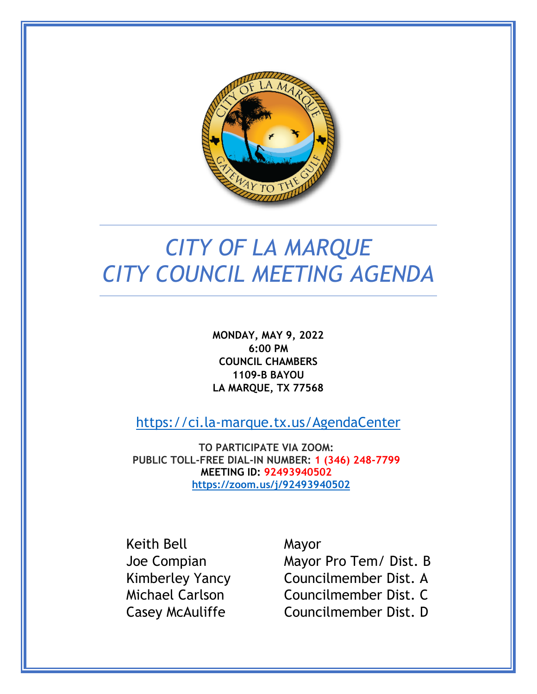

# *CITY OF LA MARQUE CITY COUNCIL MEETING AGENDA*

**MONDAY, MAY 9, 2022 6:00 PM COUNCIL CHAMBERS 1109-B BAYOU LA MARQUE, TX 77568**

<https://ci.la-marque.tx.us/AgendaCenter>

**TO PARTICIPATE VIA ZOOM: PUBLIC TOLL-FREE DIAL-IN NUMBER: 1 (346) 248-7799 MEETING ID: 92493940502 <https://zoom.us/j/92493940502>**

Keith Bell Mayor

Joe Compian Mayor Pro Tem/ Dist. B Kimberley Yancy Councilmember Dist. A Michael Carlson Councilmember Dist. C Casey McAuliffe Councilmember Dist. D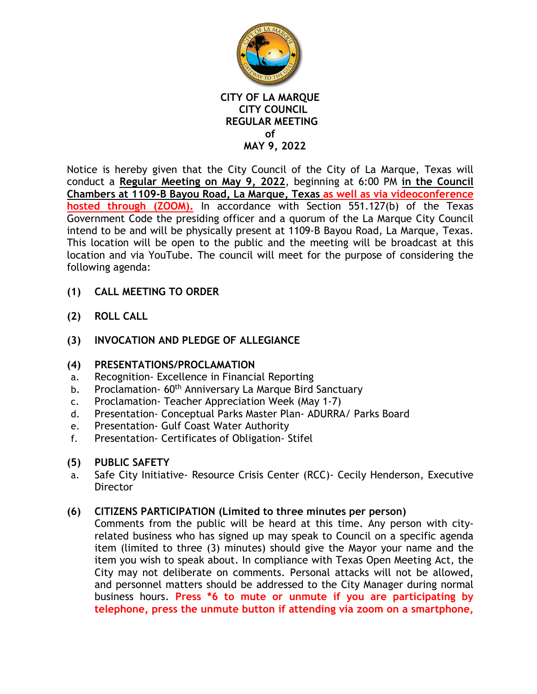

Notice is hereby given that the City Council of the City of La Marque, Texas will conduct a **Regular Meeting on May 9, 2022**, beginning at 6:00 PM **in the Council Chambers at 1109-B Bayou Road, La Marque, Texas as well as via videoconference hosted through (ZOOM).** In accordance with Section 551.127(b) of the Texas Government Code the presiding officer and a quorum of the La Marque City Council intend to be and will be physically present at 1109-B Bayou Road, La Marque, Texas. This location will be open to the public and the meeting will be broadcast at this location and via YouTube. The council will meet for the purpose of considering the following agenda:

- **(1) CALL MEETING TO ORDER**
- **(2) ROLL CALL**
- **(3) INVOCATION AND PLEDGE OF ALLEGIANCE**

## **(4) PRESENTATIONS/PROCLAMATION**

- a. Recognition- Excellence in Financial Reporting
- b. Proclamation- 60<sup>th</sup> Anniversary La Marque Bird Sanctuary
- c. Proclamation- Teacher Appreciation Week (May 1-7)
- d. Presentation- Conceptual Parks Master Plan- ADURRA/ Parks Board
- e. Presentation- Gulf Coast Water Authority
- f. Presentation- Certificates of Obligation- Stifel
- **(5) PUBLIC SAFETY**
- a. Safe City Initiative- Resource Crisis Center (RCC)- Cecily Henderson, Executive **Director**

## **(6) CITIZENS PARTICIPATION (Limited to three minutes per person)**

Comments from the public will be heard at this time. Any person with cityrelated business who has signed up may speak to Council on a specific agenda item (limited to three (3) minutes) should give the Mayor your name and the item you wish to speak about. In compliance with Texas Open Meeting Act, the City may not deliberate on comments. Personal attacks will not be allowed, and personnel matters should be addressed to the City Manager during normal business hours. **Press \*6 to mute or unmute if you are participating by telephone, press the unmute button if attending via zoom on a smartphone,**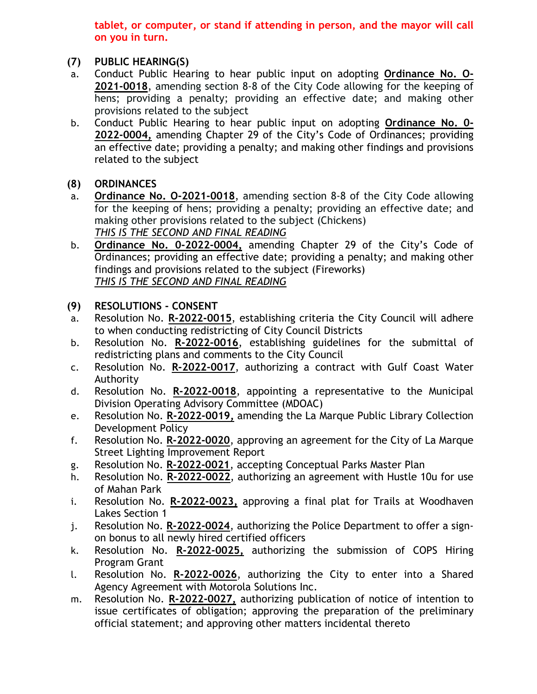**tablet, or computer, or stand if attending in person, and the mayor will call on you in turn.**

## **(7) PUBLIC HEARING(S)**

- a. Conduct Public Hearing to hear public input on adopting **Ordinance No. O-2021-0018**, amending section 8-8 of the City Code allowing for the keeping of hens; providing a penalty; providing an effective date; and making other provisions related to the subject
- b. Conduct Public Hearing to hear public input on adopting **Ordinance No. 0- 2022-0004,** amending Chapter 29 of the City's Code of Ordinances; providing an effective date; providing a penalty; and making other findings and provisions related to the subject
- **(8) ORDINANCES**
- a. **Ordinance No. O-2021-0018**, amending section 8-8 of the City Code allowing for the keeping of hens; providing a penalty; providing an effective date; and making other provisions related to the subject (Chickens) *THIS IS THE SECOND AND FINAL READING*
- b. **Ordinance No. 0-2022-0004,** amending Chapter 29 of the City's Code of Ordinances; providing an effective date; providing a penalty; and making other findings and provisions related to the subject (Fireworks) *THIS IS THE SECOND AND FINAL READING*

# **(9) RESOLUTIONS - CONSENT**

- a. Resolution No. **R-2022-0015**, establishing criteria the City Council will adhere to when conducting redistricting of City Council Districts
- b. Resolution No. **R-2022-0016**, establishing guidelines for the submittal of redistricting plans and comments to the City Council
- c. Resolution No. **R-2022-0017**, authorizing a contract with Gulf Coast Water Authority
- d. Resolution No. **R-2022-0018**, appointing a representative to the Municipal Division Operating Advisory Committee (MDOAC)
- e. Resolution No. **R-2022-0019,** amending the La Marque Public Library Collection Development Policy
- f. Resolution No. **R-2022-0020**, approving an agreement for the City of La Marque Street Lighting Improvement Report
- g. Resolution No. **R-2022-0021**, accepting Conceptual Parks Master Plan
- h. Resolution No. **R-2022-0022**, authorizing an agreement with Hustle 10u for use of Mahan Park
- i. Resolution No. **R-2022-0023,** approving a final plat for Trails at Woodhaven Lakes Section 1
- j. Resolution No. **R-2022-0024**, authorizing the Police Department to offer a signon bonus to all newly hired certified officers
- k. Resolution No. **R-2022-0025,** authorizing the submission of COPS Hiring Program Grant
- l. Resolution No. **R-2022-0026**, authorizing the City to enter into a Shared Agency Agreement with Motorola Solutions Inc.
- m. Resolution No. **R-2022-0027,** authorizing publication of notice of intention to issue certificates of obligation; approving the preparation of the preliminary official statement; and approving other matters incidental thereto